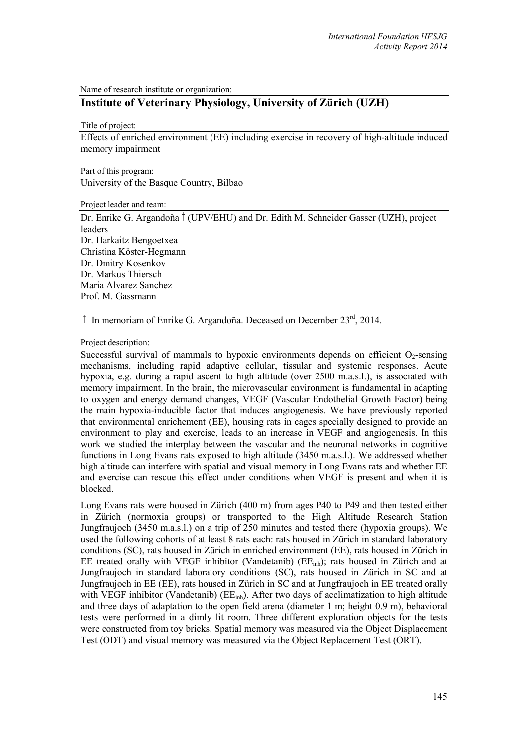Name of research institute or organization:

# **Institute of Veterinary Physiology, University of Zürich (UZH)**

Title of project:

Effects of enriched environment (EE) including exercise in recovery of high-altitude induced memory impairment

Part of this program:

University of the Basque Country, Bilbao

Project leader and team:

Dr. Enrike G. Argandoña <sup>†</sup> (UPV/EHU) and Dr. Edith M. Schneider Gasser (UZH), project leaders Dr. Harkaitz Bengoetxea Christina Köster-Hegmann Dr. Dmitry Kosenkov Dr. Markus Thiersch Maria Alvarez Sanchez Prof. M. Gassmann

 $\uparrow$  In memoriam of Enrike G. Argandoña. Deceased on December 23<sup>rd</sup>, 2014.

### Project description:

Successful survival of mammals to hypoxic environments depends on efficient  $O<sub>2</sub>$ -sensing mechanisms, including rapid adaptive cellular, tissular and systemic responses. Acute hypoxia, e.g. during a rapid ascent to high altitude (over 2500 m.a.s.l.), is associated with memory impairment. In the brain, the microvascular environment is fundamental in adapting to oxygen and energy demand changes, VEGF (Vascular Endothelial Growth Factor) being the main hypoxia-inducible factor that induces angiogenesis. We have previously reported that environmental enrichement (EE), housing rats in cages specially designed to provide an environment to play and exercise, leads to an increase in VEGF and angiogenesis. In this work we studied the interplay between the vascular and the neuronal networks in cognitive functions in Long Evans rats exposed to high altitude (3450 m.a.s.l.). We addressed whether high altitude can interfere with spatial and visual memory in Long Evans rats and whether EE and exercise can rescue this effect under conditions when VEGF is present and when it is blocked.

Long Evans rats were housed in Zürich (400 m) from ages P40 to P49 and then tested either in Zürich (normoxia groups) or transported to the High Altitude Research Station Jungfraujoch (3450 m.a.s.l.) on a trip of 250 minutes and tested there (hypoxia groups). We used the following cohorts of at least 8 rats each: rats housed in Zürich in standard laboratory conditions (SC), rats housed in Zürich in enriched environment (EE), rats housed in Zürich in EE treated orally with VEGF inhibitor (Vandetanib)  $(EE<sub>inh</sub>)$ ; rats housed in Zürich and at Jungfraujoch in standard laboratory conditions (SC), rats housed in Zürich in SC and at Jungfraujoch in EE (EE), rats housed in Zürich in SC and at Jungfraujoch in EE treated orally with VEGF inhibitor (Vandetanib) ( $EE<sub>inh</sub>$ ). After two days of acclimatization to high altitude and three days of adaptation to the open field arena (diameter 1 m; height 0.9 m), behavioral tests were performed in a dimly lit room. Three different exploration objects for the tests were constructed from toy bricks. Spatial memory was measured via the Object Displacement Test (ODT) and visual memory was measured via the Object Replacement Test (ORT).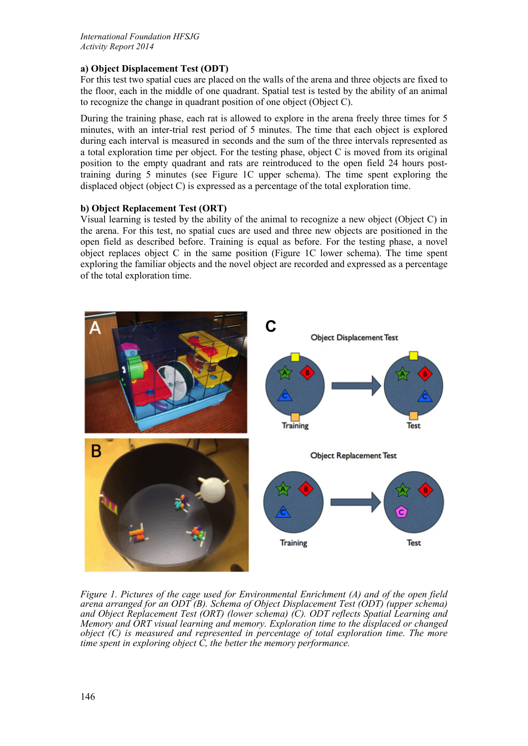## **a) Object Displacement Test (ODT)**

For this test two spatial cues are placed on the walls of the arena and three objects are fixed to the floor, each in the middle of one quadrant. Spatial test is tested by the ability of an animal to recognize the change in quadrant position of one object (Object C).

During the training phase, each rat is allowed to explore in the arena freely three times for 5 minutes, with an inter-trial rest period of 5 minutes. The time that each object is explored during each interval is measured in seconds and the sum of the three intervals represented as a total exploration time per object. For the testing phase, object C is moved from its original position to the empty quadrant and rats are reintroduced to the open field 24 hours posttraining during 5 minutes (see Figure 1C upper schema). The time spent exploring the displaced object (object C) is expressed as a percentage of the total exploration time.

### **b) Object Replacement Test (ORT)**

Visual learning is tested by the ability of the animal to recognize a new object (Object C) in the arena. For this test, no spatial cues are used and three new objects are positioned in the open field as described before. Training is equal as before. For the testing phase, a novel object replaces object C in the same position (Figure 1C lower schema). The time spent exploring the familiar objects and the novel object are recorded and expressed as a percentage of the total exploration time.



*Figure 1. Pictures of the cage used for Environmental Enrichment (A) and of the open field arena arranged for an ODT (B). Schema of Object Displacement Test (ODT) (upper schema) and Object Replacement Test (ORT) (lower schema) (C). ODT reflects Spatial Learning and Memory and ORT visual learning and memory. Exploration time to the displaced or changed object (C) is measured and represented in percentage of total exploration time. The more time spent in exploring object C, the better the memory performance.*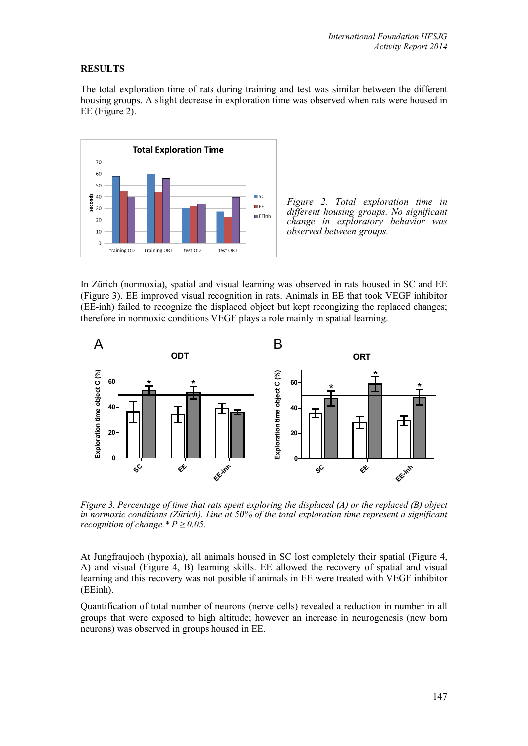## **RESULTS**

The total exploration time of rats during training and test was similar between the different housing groups. A slight decrease in exploration time was observed when rats were housed in EE (Figure 2).



*Figure 2. Total exploration time in different housing groups. No significant change in exploratory behavior was observed between groups.*

In Zürich (normoxia), spatial and visual learning was observed in rats housed in SC and EE (Figure 3). EE improved visual recognition in rats. Animals in EE that took VEGF inhibitor (EE-inh) failed to recognize the displaced object but kept recongizing the replaced changes; therefore in normoxic conditions VEGF plays a role mainly in spatial learning.



*Figure 3. Percentage of time that rats spent exploring the displaced (A) or the replaced (B) object in normoxic conditions (Zürich). Line at 50% of the total exploration time represent a significant recognition of change.\**  $P \ge 0.05$ .

At Jungfraujoch (hypoxia), all animals housed in SC lost completely their spatial (Figure 4, A) and visual (Figure 4, B) learning skills. EE allowed the recovery of spatial and visual learning and this recovery was not posible if animals in EE were treated with VEGF inhibitor (EEinh).

Quantification of total number of neurons (nerve cells) revealed a reduction in number in all groups that were exposed to high altitude; however an increase in neurogenesis (new born neurons) was observed in groups housed in EE.